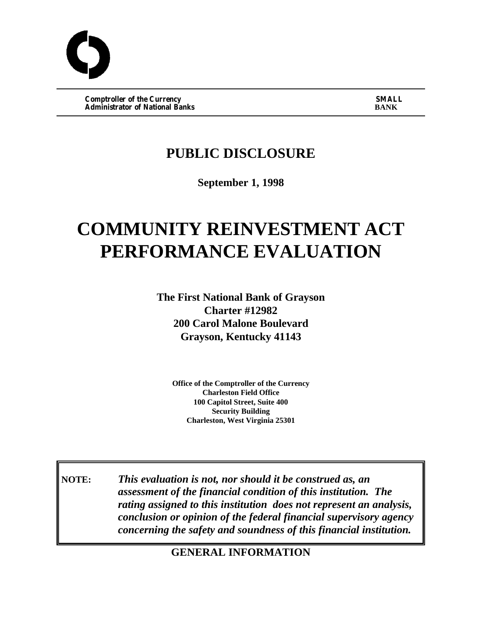**Comptroller of the Currency SMALL SMALL SMALL SMALL SMALL SMALL**<br>
Administrator of National Banks **Administrator of National Banks** 

## **PUBLIC DISCLOSURE**

**September 1, 1998**

# **COMMUNITY REINVESTMENT ACT PERFORMANCE EVALUATION**

**The First National Bank of Grayson Charter #12982 200 Carol Malone Boulevard Grayson, Kentucky 41143**

**Office of the Comptroller of the Currency Charleston Field Office 100 Capitol Street, Suite 400 Security Building Charleston, West Virginia 25301**

**NOTE:** *This evaluation is not, nor should it be construed as, an assessment of the financial condition of this institution. The rating assigned to this institution does not represent an analysis, conclusion or opinion of the federal financial supervisory agency concerning the safety and soundness of this financial institution.*

**GENERAL INFORMATION**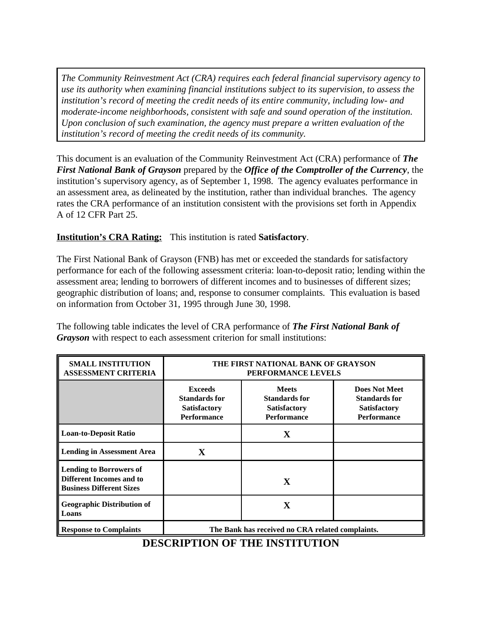*The Community Reinvestment Act (CRA) requires each federal financial supervisory agency to use its authority when examining financial institutions subject to its supervision, to assess the institution's record of meeting the credit needs of its entire community, including low- and moderate-income neighborhoods, consistent with safe and sound operation of the institution. Upon conclusion of such examination, the agency must prepare a written evaluation of the institution's record of meeting the credit needs of its community.*

This document is an evaluation of the Community Reinvestment Act (CRA) performance of *The First National Bank of Grayson* prepared by the *Office of the Comptroller of the Currency*, the institution's supervisory agency, as of September 1, 1998. The agency evaluates performance in an assessment area, as delineated by the institution, rather than individual branches. The agency rates the CRA performance of an institution consistent with the provisions set forth in Appendix A of 12 CFR Part 25.

#### **Institution's CRA Rating:** This institution is rated **Satisfactory**.

The First National Bank of Grayson (FNB) has met or exceeded the standards for satisfactory performance for each of the following assessment criteria: loan-to-deposit ratio; lending within the assessment area; lending to borrowers of different incomes and to businesses of different sizes; geographic distribution of loans; and, response to consumer complaints. This evaluation is based on information from October 31, 1995 through June 30, 1998.

The following table indicates the level of CRA performance of *The First National Bank of Grayson* with respect to each assessment criterion for small institutions:

| <b>SMALL INSTITUTION</b><br><b>ASSESSMENT CRITERIA</b>                                        | THE FIRST NATIONAL BANK OF GRAYSON<br>PERFORMANCE LEVELS                            |                                                                                   |                                                                                           |  |  |  |
|-----------------------------------------------------------------------------------------------|-------------------------------------------------------------------------------------|-----------------------------------------------------------------------------------|-------------------------------------------------------------------------------------------|--|--|--|
|                                                                                               | <b>Exceeds</b><br><b>Standards for</b><br><b>Satisfactory</b><br><b>Performance</b> | <b>Meets</b><br><b>Standards for</b><br><b>Satisfactory</b><br><b>Performance</b> | <b>Does Not Meet</b><br><b>Standards for</b><br><b>Satisfactory</b><br><b>Performance</b> |  |  |  |
| <b>Loan-to-Deposit Ratio</b>                                                                  |                                                                                     | $\mathbf X$                                                                       |                                                                                           |  |  |  |
| <b>Lending in Assessment Area</b>                                                             | X                                                                                   |                                                                                   |                                                                                           |  |  |  |
| <b>Lending to Borrowers of</b><br>Different Incomes and to<br><b>Business Different Sizes</b> |                                                                                     | X                                                                                 |                                                                                           |  |  |  |
| <b>Geographic Distribution of</b><br>Loans                                                    |                                                                                     | X                                                                                 |                                                                                           |  |  |  |
| <b>Response to Complaints</b>                                                                 | The Bank has received no CRA related complaints.                                    |                                                                                   |                                                                                           |  |  |  |

#### **DESCRIPTION OF THE INSTITUTION**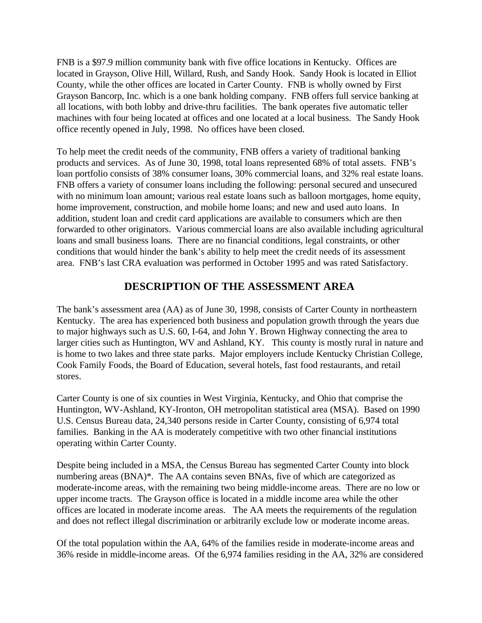FNB is a \$97.9 million community bank with five office locations in Kentucky. Offices are located in Grayson, Olive Hill, Willard, Rush, and Sandy Hook. Sandy Hook is located in Elliot County, while the other offices are located in Carter County. FNB is wholly owned by First Grayson Bancorp, Inc. which is a one bank holding company. FNB offers full service banking at all locations, with both lobby and drive-thru facilities. The bank operates five automatic teller machines with four being located at offices and one located at a local business. The Sandy Hook office recently opened in July, 1998. No offices have been closed.

To help meet the credit needs of the community, FNB offers a variety of traditional banking products and services. As of June 30, 1998, total loans represented 68% of total assets. FNB's loan portfolio consists of 38% consumer loans, 30% commercial loans, and 32% real estate loans. FNB offers a variety of consumer loans including the following: personal secured and unsecured with no minimum loan amount; various real estate loans such as balloon mortgages, home equity, home improvement, construction, and mobile home loans; and new and used auto loans. In addition, student loan and credit card applications are available to consumers which are then forwarded to other originators. Various commercial loans are also available including agricultural loans and small business loans. There are no financial conditions, legal constraints, or other conditions that would hinder the bank's ability to help meet the credit needs of its assessment area. FNB's last CRA evaluation was performed in October 1995 and was rated Satisfactory.

#### **DESCRIPTION OF THE ASSESSMENT AREA**

The bank's assessment area (AA) as of June 30, 1998, consists of Carter County in northeastern Kentucky. The area has experienced both business and population growth through the years due to major highways such as U.S. 60, I-64, and John Y. Brown Highway connecting the area to larger cities such as Huntington, WV and Ashland, KY. This county is mostly rural in nature and is home to two lakes and three state parks. Major employers include Kentucky Christian College, Cook Family Foods, the Board of Education, several hotels, fast food restaurants, and retail stores.

Carter County is one of six counties in West Virginia, Kentucky, and Ohio that comprise the Huntington, WV-Ashland, KY-Ironton, OH metropolitan statistical area (MSA). Based on 1990 U.S. Census Bureau data, 24,340 persons reside in Carter County, consisting of 6,974 total families. Banking in the AA is moderately competitive with two other financial institutions operating within Carter County.

Despite being included in a MSA, the Census Bureau has segmented Carter County into block numbering areas (BNA)\*. The AA contains seven BNAs, five of which are categorized as moderate-income areas, with the remaining two being middle-income areas. There are no low or upper income tracts. The Grayson office is located in a middle income area while the other offices are located in moderate income areas. The AA meets the requirements of the regulation and does not reflect illegal discrimination or arbitrarily exclude low or moderate income areas.

Of the total population within the AA, 64% of the families reside in moderate-income areas and 36% reside in middle-income areas. Of the 6,974 families residing in the AA, 32% are considered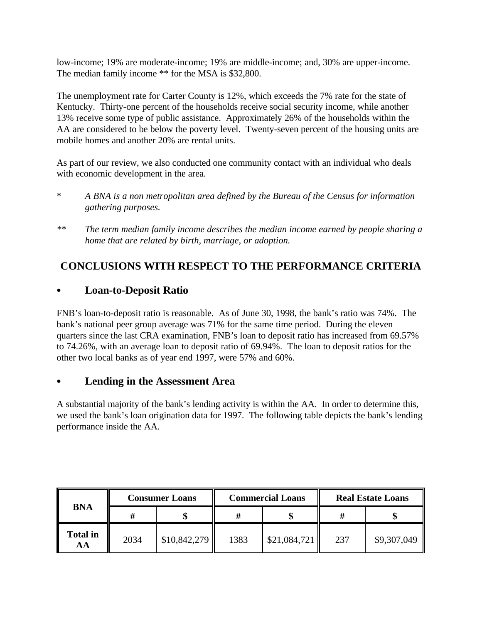low-income; 19% are moderate-income; 19% are middle-income; and, 30% are upper-income. The median family income \*\* for the MSA is \$32,800.

The unemployment rate for Carter County is 12%, which exceeds the 7% rate for the state of Kentucky. Thirty-one percent of the households receive social security income, while another 13% receive some type of public assistance. Approximately 26% of the households within the AA are considered to be below the poverty level. Twenty-seven percent of the housing units are mobile homes and another 20% are rental units.

As part of our review, we also conducted one community contact with an individual who deals with economic development in the area.

- \* *A BNA is a non metropolitan area defined by the Bureau of the Census for information gathering purposes.*
- *\*\* The term median family income describes the median income earned by people sharing a home that are related by birth, marriage, or adoption.*

### **CONCLUSIONS WITH RESPECT TO THE PERFORMANCE CRITERIA**

#### Loan-to-Deposit Ratio

FNB's loan-to-deposit ratio is reasonable. As of June 30, 1998, the bank's ratio was 74%. The bank's national peer group average was 71% for the same time period. During the eleven quarters since the last CRA examination, FNB's loan to deposit ratio has increased from 69.57% to 74.26%, with an average loan to deposit ratio of 69.94%. The loan to deposit ratios for the other two local banks as of year end 1997, were 57% and 60%.

#### C **Lending in the Assessment Area**

A substantial majority of the bank's lending activity is within the AA. In order to determine this, we used the bank's loan origination data for 1997. The following table depicts the bank's lending performance inside the AA.

|                       |      | <b>Consumer Loans</b> |      | <b>Commercial Loans</b> |     | <b>Real Estate Loans</b> |  |
|-----------------------|------|-----------------------|------|-------------------------|-----|--------------------------|--|
| <b>BNA</b>            |      |                       |      |                         |     |                          |  |
| <b>Total in</b><br>AА | 2034 | \$10,842,279          | 1383 | \$21,084,721            | 237 | \$9,307,049              |  |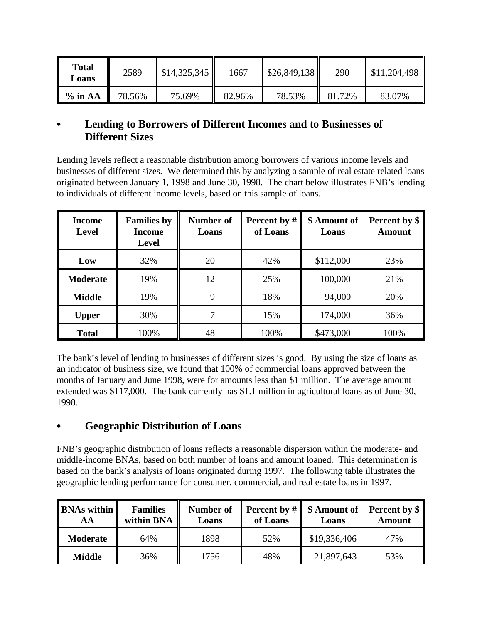| <b>Total</b><br><b>Loans</b> | 2589   | \$14,325,345 | 1667   | \$26,849,138 | 290    | \$11,204,498 |
|------------------------------|--------|--------------|--------|--------------|--------|--------------|
| $\%$ in AA                   | 78.56% | 75.69%       | 82.96% | 78.53%       | 81.72% | 83.07%       |

#### C **Lending to Borrowers of Different Incomes and to Businesses of Different Sizes**

Lending levels reflect a reasonable distribution among borrowers of various income levels and businesses of different sizes. We determined this by analyzing a sample of real estate related loans originated between January 1, 1998 and June 30, 1998. The chart below illustrates FNB's lending to individuals of different income levels, based on this sample of loans.

| <b>Income</b><br><b>Level</b> | <b>Families by</b><br><b>Income</b><br><b>Level</b> | Number of<br>Loans | Percent by #<br>of Loans | \$ Amount of<br>Loans | Percent by \$<br><b>Amount</b> |
|-------------------------------|-----------------------------------------------------|--------------------|--------------------------|-----------------------|--------------------------------|
| Low                           | 32%                                                 | 20                 | 42%                      | \$112,000             | 23%                            |
| <b>Moderate</b>               | 19%                                                 | 12                 | 25%                      | 100,000               | 21%                            |
| <b>Middle</b>                 | 19%                                                 | 9                  | 18%                      | 94,000                | 20%                            |
| <b>Upper</b>                  | 30%                                                 |                    | 15%                      | 174,000               | 36%                            |
| <b>Total</b>                  | 100%                                                | 48                 | 100%                     | \$473,000             | 100%                           |

The bank's level of lending to businesses of different sizes is good. By using the size of loans as an indicator of business size, we found that 100% of commercial loans approved between the months of January and June 1998, were for amounts less than \$1 million. The average amount extended was \$117,000. The bank currently has \$1.1 million in agricultural loans as of June 30, 1998.

#### C **Geographic Distribution of Loans**

FNB's geographic distribution of loans reflects a reasonable dispersion within the moderate- and middle-income BNAs, based on both number of loans and amount loaned. This determination is based on the bank's analysis of loans originated during 1997. The following table illustrates the geographic lending performance for consumer, commercial, and real estate loans in 1997.

| <b>BNAs within</b><br>AА | <b>Families</b><br>within BNA | Number of<br>Loans | <b>Percent by #</b><br>of Loans | \$ Amount of<br>Loans | Percent by \$<br><b>Amount</b> |
|--------------------------|-------------------------------|--------------------|---------------------------------|-----------------------|--------------------------------|
| <b>Moderate</b>          | 64%                           | 1898               | 52%                             | \$19,336,406          | 47%                            |
| Middle                   | 36%                           | 1756               | 48%                             | 21,897,643            | 53%                            |